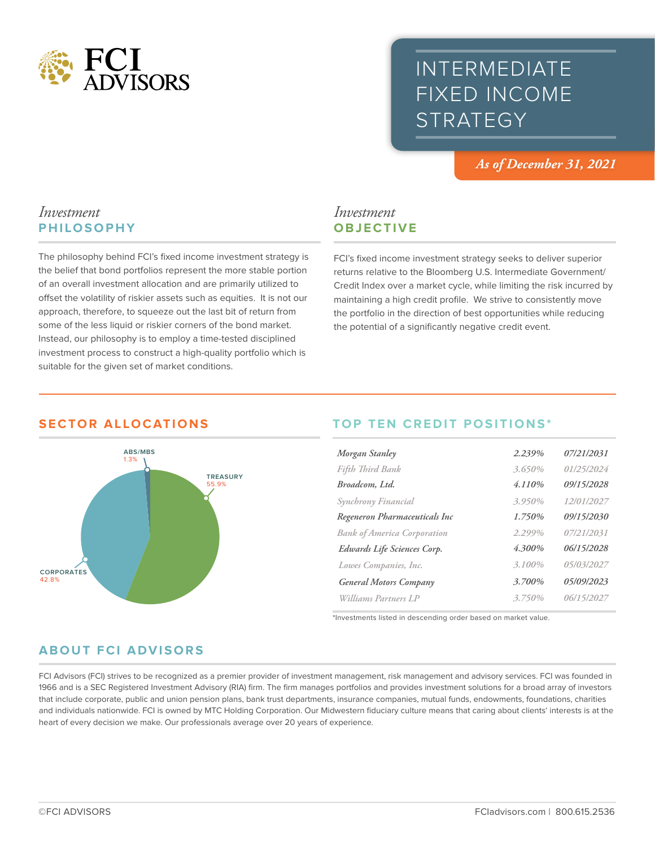

### INTERMEDIATE FIXED INCOME **STRATEGY**

*As of December 31, 2021*

#### *Investment* **PHILOSOPHY**

The philosophy behind FCI's fixed income investment strategy is the belief that bond portfolios represent the more stable portion of an overall investment allocation and are primarily utilized to offset the volatility of riskier assets such as equities. It is not our approach, therefore, to squeeze out the last bit of return from some of the less liquid or riskier corners of the bond market. Instead, our philosophy is to employ a time-tested disciplined investment process to construct a high-quality portfolio which is suitable for the given set of market conditions.

# *Investment*

FCI's fixed income investment strategy seeks to deliver superior returns relative to the Bloomberg U.S. Intermediate Government/ Credit Index over a market cycle, while limiting the risk incurred by maintaining a high credit profile. We strive to consistently move the portfolio in the direction of best opportunities while reducing the potential of a significantly negative credit event.



#### **SECTOR ALLOCATIONS**

## **OBJECTIVE**

#### **TOP TEN CREDIT POSITIONS\***

| Morgan Stanley                     | 2.239%    | 07/21/2031 |
|------------------------------------|-----------|------------|
| Fifth Third Bank                   | 3.650%    | 01/25/2024 |
| Broadcom, Ltd.                     | 4.110%    | 09/15/2028 |
| Synchrony Financial                | 3.950%    | 12/01/2027 |
| Regeneron Pharmaceuticals Inc      | 1.750%    | 09/15/2030 |
| <b>Bank of America Corporation</b> | 2.299%    | 07/21/2031 |
| Edwards Life Sciences Corp.        | 4.300%    | 06/15/2028 |
| Lowes Companies, Inc.              | $3.100\%$ | 05/03/2027 |
| <b>General Motors Company</b>      | 3.700%    | 05/09/2023 |
| Williams Partners LP               | 3.750%    | 06/15/2027 |
|                                    |           |            |

\*Investments listed in descending order based on market value.

#### **ABOUT FCI ADVISORS**

FCI Advisors (FCI) strives to be recognized as a premier provider of investment management, risk management and advisory services. FCI was founded in 1966 and is a SEC Registered Investment Advisory (RIA) firm. The firm manages portfolios and provides investment solutions for a broad array of investors that include corporate, public and union pension plans, bank trust departments, insurance companies, mutual funds, endowments, foundations, charities and individuals nationwide. FCI is owned by MTC Holding Corporation. Our Midwestern fiduciary culture means that caring about clients' interests is at the heart of every decision we make. Our professionals average over 20 years of experience.